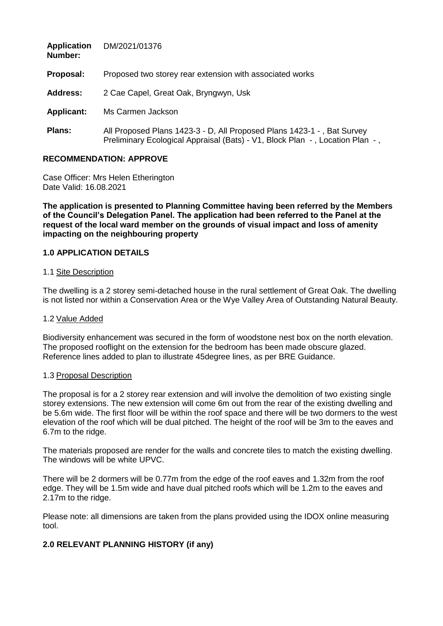| <b>Application</b><br>Number: | DM/2021/01376                                                                                                                                          |
|-------------------------------|--------------------------------------------------------------------------------------------------------------------------------------------------------|
| Proposal:                     | Proposed two storey rear extension with associated works                                                                                               |
| <b>Address:</b>               | 2 Cae Capel, Great Oak, Bryngwyn, Usk                                                                                                                  |
| <b>Applicant:</b>             | Ms Carmen Jackson                                                                                                                                      |
| <b>Plans:</b>                 | All Proposed Plans 1423-3 - D, All Proposed Plans 1423-1 -, Bat Survey<br>Preliminary Ecological Appraisal (Bats) - V1, Block Plan -, Location Plan -, |

### **RECOMMENDATION: APPROVE**

Case Officer: Mrs Helen Etherington Date Valid: 16.08.2021

**The application is presented to Planning Committee having been referred by the Members of the Council's Delegation Panel. The application had been referred to the Panel at the request of the local ward member on the grounds of visual impact and loss of amenity impacting on the neighbouring property**

### **1.0 APPLICATION DETAILS**

#### 1.1 Site Description

The dwelling is a 2 storey semi-detached house in the rural settlement of Great Oak. The dwelling is not listed nor within a Conservation Area or the Wye Valley Area of Outstanding Natural Beauty.

#### 1.2 Value Added

Biodiversity enhancement was secured in the form of woodstone nest box on the north elevation. The proposed rooflight on the extension for the bedroom has been made obscure glazed. Reference lines added to plan to illustrate 45degree lines, as per BRE Guidance.

#### 1.3 Proposal Description

The proposal is for a 2 storey rear extension and will involve the demolition of two existing single storey extensions. The new extension will come 6m out from the rear of the existing dwelling and be 5.6m wide. The first floor will be within the roof space and there will be two dormers to the west elevation of the roof which will be dual pitched. The height of the roof will be 3m to the eaves and 6.7m to the ridge.

The materials proposed are render for the walls and concrete tiles to match the existing dwelling. The windows will be white UPVC.

There will be 2 dormers will be 0.77m from the edge of the roof eaves and 1.32m from the roof edge. They will be 1.5m wide and have dual pitched roofs which will be 1.2m to the eaves and 2.17m to the ridge.

Please note: all dimensions are taken from the plans provided using the IDOX online measuring tool.

# **2.0 RELEVANT PLANNING HISTORY (if any)**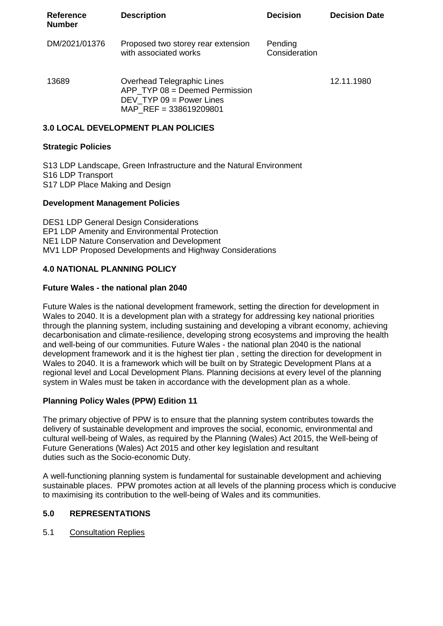| <b>Reference</b><br><b>Number</b> | <b>Description</b>                                                                                                   | <b>Decision</b>          | <b>Decision Date</b> |
|-----------------------------------|----------------------------------------------------------------------------------------------------------------------|--------------------------|----------------------|
| DM/2021/01376                     | Proposed two storey rear extension<br>with associated works                                                          | Pending<br>Consideration |                      |
| 13689                             | Overhead Telegraphic Lines<br>APP TYP 08 = Deemed Permission<br>DEV TYP $09 = Power$ Lines<br>MAP REF = 338619209801 |                          | 12.11.1980           |

# **3.0 LOCAL DEVELOPMENT PLAN POLICIES**

### **Strategic Policies**

S13 LDP Landscape, Green Infrastructure and the Natural Environment S16 LDP Transport S17 LDP Place Making and Design

### **Development Management Policies**

DES1 LDP General Design Considerations EP1 LDP Amenity and Environmental Protection NE1 LDP Nature Conservation and Development MV1 LDP Proposed Developments and Highway Considerations

### **4.0 NATIONAL PLANNING POLICY**

### **Future Wales - the national plan 2040**

Future Wales is the national development framework, setting the direction for development in Wales to 2040. It is a development plan with a strategy for addressing key national priorities through the planning system, including sustaining and developing a vibrant economy, achieving decarbonisation and climate-resilience, developing strong ecosystems and improving the health and well-being of our communities. Future Wales - the national plan 2040 is the national development framework and it is the highest tier plan , setting the direction for development in Wales to 2040. It is a framework which will be built on by Strategic Development Plans at a regional level and Local Development Plans. Planning decisions at every level of the planning system in Wales must be taken in accordance with the development plan as a whole.

### **Planning Policy Wales (PPW) Edition 11**

The primary objective of PPW is to ensure that the planning system contributes towards the delivery of sustainable development and improves the social, economic, environmental and cultural well-being of Wales, as required by the Planning (Wales) Act 2015, the Well-being of Future Generations (Wales) Act 2015 and other key legislation and resultant duties such as the Socio-economic Duty.

A well-functioning planning system is fundamental for sustainable development and achieving sustainable places. PPW promotes action at all levels of the planning process which is conducive to maximising its contribution to the well-being of Wales and its communities.

### **5.0 REPRESENTATIONS**

5.1 Consultation Replies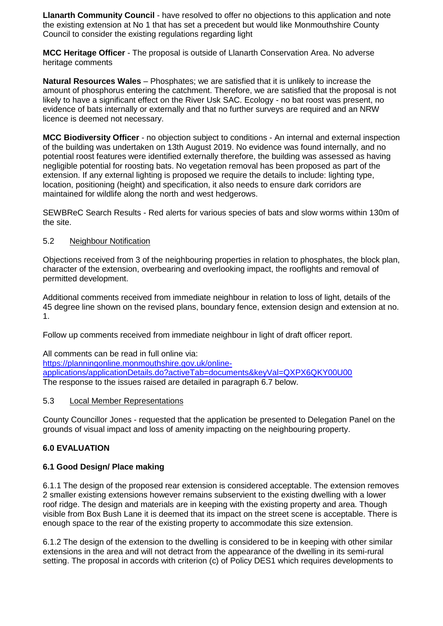**Llanarth Community Council** - have resolved to offer no objections to this application and note the existing extension at No 1 that has set a precedent but would like Monmouthshire County Council to consider the existing regulations regarding light

**MCC Heritage Officer** - The proposal is outside of Llanarth Conservation Area. No adverse heritage comments

**Natural Resources Wales** – Phosphates; we are satisfied that it is unlikely to increase the amount of phosphorus entering the catchment. Therefore, we are satisfied that the proposal is not likely to have a significant effect on the River Usk SAC. Ecology - no bat roost was present, no evidence of bats internally or externally and that no further surveys are required and an NRW licence is deemed not necessary.

**MCC Biodiversity Officer** - no objection subject to conditions - An internal and external inspection of the building was undertaken on 13th August 2019. No evidence was found internally, and no potential roost features were identified externally therefore, the building was assessed as having negligible potential for roosting bats. No vegetation removal has been proposed as part of the extension. If any external lighting is proposed we require the details to include: lighting type, location, positioning (height) and specification, it also needs to ensure dark corridors are maintained for wildlife along the north and west hedgerows.

SEWBReC Search Results - Red alerts for various species of bats and slow worms within 130m of the site.

### 5.2 Neighbour Notification

Objections received from 3 of the neighbouring properties in relation to phosphates, the block plan, character of the extension, overbearing and overlooking impact, the rooflights and removal of permitted development.

Additional comments received from immediate neighbour in relation to loss of light, details of the 45 degree line shown on the revised plans, boundary fence, extension design and extension at no. 1.

Follow up comments received from immediate neighbour in light of draft officer report.

All comments can be read in full online via: [https://planningonline.monmouthshire.gov.uk/online](https://planningonline.monmouthshire.gov.uk/online-applications/applicationDetails.do?activeTab=documents&keyVal=QXPX6QKY00U00)[applications/applicationDetails.do?activeTab=documents&keyVal=QXPX6QKY00U00](https://planningonline.monmouthshire.gov.uk/online-applications/applicationDetails.do?activeTab=documents&keyVal=QXPX6QKY00U00) The response to the issues raised are detailed in paragraph 6.7 below.

### 5.3 Local Member Representations

County Councillor Jones - requested that the application be presented to Delegation Panel on the grounds of visual impact and loss of amenity impacting on the neighbouring property.

# **6.0 EVALUATION**

# **6.1 Good Design/ Place making**

6.1.1 The design of the proposed rear extension is considered acceptable. The extension removes 2 smaller existing extensions however remains subservient to the existing dwelling with a lower roof ridge. The design and materials are in keeping with the existing property and area. Though visible from Box Bush Lane it is deemed that its impact on the street scene is acceptable. There is enough space to the rear of the existing property to accommodate this size extension.

6.1.2 The design of the extension to the dwelling is considered to be in keeping with other similar extensions in the area and will not detract from the appearance of the dwelling in its semi-rural setting. The proposal in accords with criterion (c) of Policy DES1 which requires developments to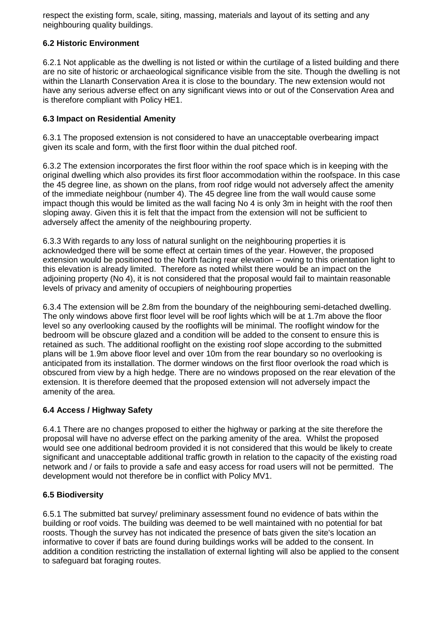respect the existing form, scale, siting, massing, materials and layout of its setting and any neighbouring quality buildings.

### **6.2 Historic Environment**

6.2.1 Not applicable as the dwelling is not listed or within the curtilage of a listed building and there are no site of historic or archaeological significance visible from the site. Though the dwelling is not within the Llanarth Conservation Area it is close to the boundary. The new extension would not have any serious adverse effect on any significant views into or out of the Conservation Area and is therefore compliant with Policy HE1.

### **6.3 Impact on Residential Amenity**

6.3.1 The proposed extension is not considered to have an unacceptable overbearing impact given its scale and form, with the first floor within the dual pitched roof.

6.3.2 The extension incorporates the first floor within the roof space which is in keeping with the original dwelling which also provides its first floor accommodation within the roofspace. In this case the 45 degree line, as shown on the plans, from roof ridge would not adversely affect the amenity of the immediate neighbour (number 4). The 45 degree line from the wall would cause some impact though this would be limited as the wall facing No 4 is only 3m in height with the roof then sloping away. Given this it is felt that the impact from the extension will not be sufficient to adversely affect the amenity of the neighbouring property.

6.3.3 With regards to any loss of natural sunlight on the neighbouring properties it is acknowledged there will be some effect at certain times of the year. However, the proposed extension would be positioned to the North facing rear elevation – owing to this orientation light to this elevation is already limited. Therefore as noted whilst there would be an impact on the adjoining property (No 4), it is not considered that the proposal would fail to maintain reasonable levels of privacy and amenity of occupiers of neighbouring properties

6.3.4 The extension will be 2.8m from the boundary of the neighbouring semi-detached dwelling. The only windows above first floor level will be roof lights which will be at 1.7m above the floor level so any overlooking caused by the rooflights will be minimal. The rooflight window for the bedroom will be obscure glazed and a condition will be added to the consent to ensure this is retained as such. The additional rooflight on the existing roof slope according to the submitted plans will be 1.9m above floor level and over 10m from the rear boundary so no overlooking is anticipated from its installation. The dormer windows on the first floor overlook the road which is obscured from view by a high hedge. There are no windows proposed on the rear elevation of the extension. It is therefore deemed that the proposed extension will not adversely impact the amenity of the area.

# **6.4 Access / Highway Safety**

6.4.1 There are no changes proposed to either the highway or parking at the site therefore the proposal will have no adverse effect on the parking amenity of the area. Whilst the proposed would see one additional bedroom provided it is not considered that this would be likely to create significant and unacceptable additional traffic growth in relation to the capacity of the existing road network and / or fails to provide a safe and easy access for road users will not be permitted. The development would not therefore be in conflict with Policy MV1.

### **6.5 Biodiversity**

6.5.1 The submitted bat survey/ preliminary assessment found no evidence of bats within the building or roof voids. The building was deemed to be well maintained with no potential for bat roosts. Though the survey has not indicated the presence of bats given the site's location an informative to cover if bats are found during buildings works will be added to the consent. In addition a condition restricting the installation of external lighting will also be applied to the consent to safeguard bat foraging routes.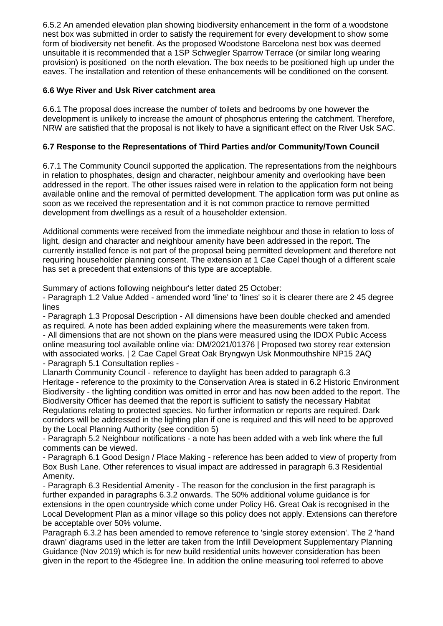6.5.2 An amended elevation plan showing biodiversity enhancement in the form of a woodstone nest box was submitted in order to satisfy the requirement for every development to show some form of biodiversity net benefit. As the proposed Woodstone Barcelona nest box was deemed unsuitable it is recommended that a 1SP Schwegler Sparrow Terrace (or similar long wearing provision) is positioned on the north elevation. The box needs to be positioned high up under the eaves. The installation and retention of these enhancements will be conditioned on the consent.

# **6.6 Wye River and Usk River catchment area**

6.6.1 The proposal does increase the number of toilets and bedrooms by one however the development is unlikely to increase the amount of phosphorus entering the catchment. Therefore, NRW are satisfied that the proposal is not likely to have a significant effect on the River Usk SAC.

# **6.7 Response to the Representations of Third Parties and/or Community/Town Council**

6.7.1 The Community Council supported the application. The representations from the neighbours in relation to phosphates, design and character, neighbour amenity and overlooking have been addressed in the report. The other issues raised were in relation to the application form not being available online and the removal of permitted development. The application form was put online as soon as we received the representation and it is not common practice to remove permitted development from dwellings as a result of a householder extension.

Additional comments were received from the immediate neighbour and those in relation to loss of light, design and character and neighbour amenity have been addressed in the report. The currently installed fence is not part of the proposal being permitted development and therefore not requiring householder planning consent. The extension at 1 Cae Capel though of a different scale has set a precedent that extensions of this type are acceptable.

Summary of actions following neighbour's letter dated 25 October:

- Paragraph 1.2 Value Added - amended word 'line' to 'lines' so it is clearer there are 2 45 degree lines

- Paragraph 1.3 Proposal Description - All dimensions have been double checked and amended as required. A note has been added explaining where the measurements were taken from. - All dimensions that are not shown on the plans were measured using the IDOX Public Access online measuring tool available online via: DM/2021/01376 | Proposed two storey rear extension with associated works. | 2 Cae Capel Great Oak Bryngwyn Usk Monmouthshire NP15 2AQ - Paragraph 5.1 Consultation replies -

Llanarth Community Council - reference to daylight has been added to paragraph 6.3 Heritage - reference to the proximity to the Conservation Area is stated in 6.2 Historic Environment Biodiversity - the lighting condition was omitted in error and has now been added to the report. The Biodiversity Officer has deemed that the report is sufficient to satisfy the necessary Habitat Regulations relating to protected species. No further information or reports are required. Dark corridors will be addressed in the lighting plan if one is required and this will need to be approved by the Local Planning Authority (see condition 5)

- Paragraph 5.2 Neighbour notifications - a note has been added with a web link where the full comments can be viewed.

- Paragraph 6.1 Good Design / Place Making - reference has been added to view of property from Box Bush Lane. Other references to visual impact are addressed in paragraph 6.3 Residential Amenity.

- Paragraph 6.3 Residential Amenity - The reason for the conclusion in the first paragraph is further expanded in paragraphs 6.3.2 onwards. The 50% additional volume guidance is for extensions in the open countryside which come under Policy H6. Great Oak is recognised in the Local Development Plan as a minor village so this policy does not apply. Extensions can therefore be acceptable over 50% volume.

Paragraph 6.3.2 has been amended to remove reference to 'single storey extension'. The 2 'hand drawn' diagrams used in the letter are taken from the Infill Development Supplementary Planning Guidance (Nov 2019) which is for new build residential units however consideration has been given in the report to the 45degree line. In addition the online measuring tool referred to above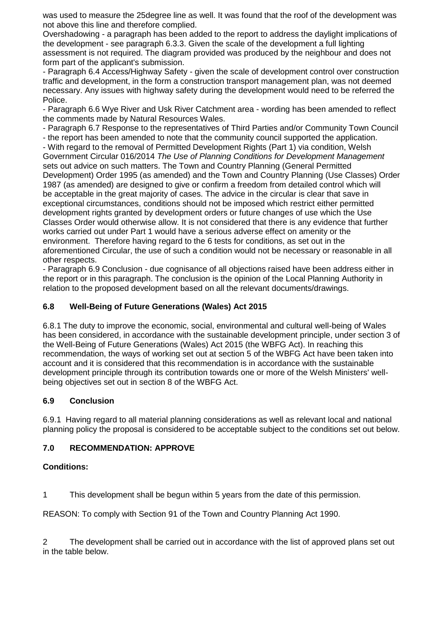was used to measure the 25degree line as well. It was found that the roof of the development was not above this line and therefore complied.

Overshadowing - a paragraph has been added to the report to address the daylight implications of the development - see paragraph 6.3.3. Given the scale of the development a full lighting assessment is not required. The diagram provided was produced by the neighbour and does not form part of the applicant's submission.

- Paragraph 6.4 Access/Highway Safety - given the scale of development control over construction traffic and development, in the form a construction transport management plan, was not deemed necessary. Any issues with highway safety during the development would need to be referred the Police.

- Paragraph 6.6 Wye River and Usk River Catchment area - wording has been amended to reflect the comments made by Natural Resources Wales.

- Paragraph 6.7 Response to the representatives of Third Parties and/or Community Town Council

- the report has been amended to note that the community council supported the application.

- With regard to the removal of Permitted Development Rights (Part 1) via condition, Welsh Government Circular 016/2014 *The Use of Planning Conditions for Development Management* sets out advice on such matters. The Town and Country Planning (General Permitted Development) Order 1995 (as amended) and the Town and Country Planning (Use Classes) Order 1987 (as amended) are designed to give or confirm a freedom from detailed control which will be acceptable in the great majority of cases. The advice in the circular is clear that save in exceptional circumstances, conditions should not be imposed which restrict either permitted development rights granted by development orders or future changes of use which the Use Classes Order would otherwise allow. It is not considered that there is any evidence that further works carried out under Part 1 would have a serious adverse effect on amenity or the environment. Therefore having regard to the 6 tests for conditions, as set out in the aforementioned Circular, the use of such a condition would not be necessary or reasonable in all other respects.

- Paragraph 6.9 Conclusion - due cognisance of all objections raised have been address either in the report or in this paragraph. The conclusion is the opinion of the Local Planning Authority in relation to the proposed development based on all the relevant documents/drawings.

# **6.8 Well-Being of Future Generations (Wales) Act 2015**

6.8.1 The duty to improve the economic, social, environmental and cultural well-being of Wales has been considered, in accordance with the sustainable development principle, under section 3 of the Well-Being of Future Generations (Wales) Act 2015 (the WBFG Act). In reaching this recommendation, the ways of working set out at section 5 of the WBFG Act have been taken into account and it is considered that this recommendation is in accordance with the sustainable development principle through its contribution towards one or more of the Welsh Ministers' wellbeing objectives set out in section 8 of the WBFG Act.

### **6.9 Conclusion**

6.9.1 Having regard to all material planning considerations as well as relevant local and national planning policy the proposal is considered to be acceptable subject to the conditions set out below.

# **7.0 RECOMMENDATION: APPROVE**

### **Conditions:**

1 This development shall be begun within 5 years from the date of this permission.

REASON: To comply with Section 91 of the Town and Country Planning Act 1990.

2 The development shall be carried out in accordance with the list of approved plans set out in the table below.